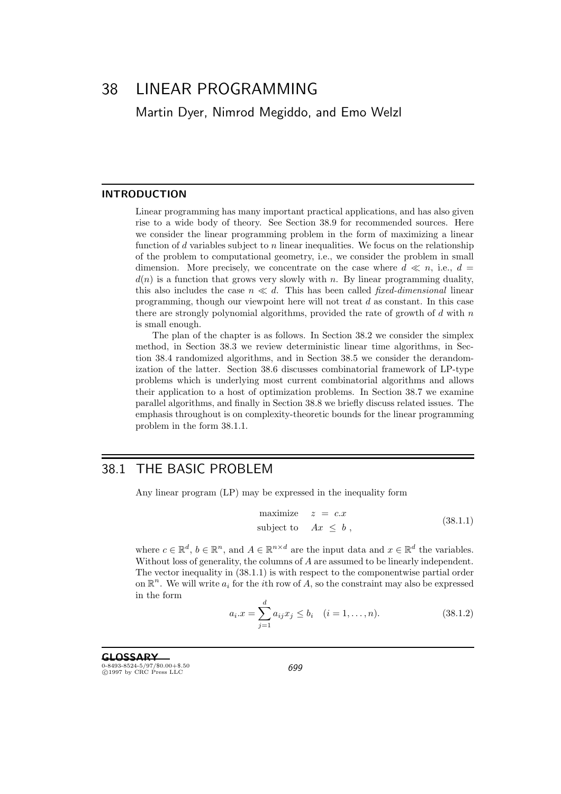# 38 LINEAR PROGRAMMING Martin Dyer, Nimrod Megiddo, and Emo Welzl

### INTRODUCTION

Linear programming has many important practical applications, and has also given rise to a wide body of theory. See Section 38.9 for recommended sources. Here we consider the linear programming problem in the form of maximizing a linear function of d variables subject to n linear inequalities. We focus on the relationship of the problem to computational geometry, i.e., we consider the problem in small dimension. More precisely, we concentrate on the case where  $d \ll n$ , i.e.,  $d =$  $d(n)$  is a function that grows very slowly with n. By linear programming duality, this also includes the case  $n \ll d$ . This has been called *fixed-dimensional* linear programming, though our viewpoint here will not treat d as constant. In this case there are strongly polynomial algorithms, provided the rate of growth of  $d$  with  $n$ is small enough.

The plan of the chapter is as follows. In Section 38.2 we consider the simplex method, in Section 38.3 we review deterministic linear time algorithms, in Section 38.4 randomized algorithms, and in Section 38.5 we consider the derandomization of the latter. Section 38.6 discusses combinatorial framework of LP-type problems which is underlying most current combinatorial algorithms and allows their application to a host of optimization problems. In Section 38.7 we examine parallel algorithms, and finally in Section 38.8 we briefly discuss related issues. The emphasis throughout is on complexity-theoretic bounds for the linear programming problem in the form 38.1.1.

# 38.1 THE BASIC PROBLEM

Any linear program (LP) may be expressed in the inequality form

$$
\begin{array}{ll}\text{maximize} & z = c.x\\ \text{subject to} & Ax \leq b \end{array} \tag{38.1.1}
$$

where  $c \in \mathbb{R}^d$ ,  $b \in \mathbb{R}^n$ , and  $A \in \mathbb{R}^{n \times d}$  are the input data and  $x \in \mathbb{R}^d$  the variables. Without loss of generality, the columns of A are assumed to be linearly independent. The vector inequality in (38.1.1) is with respect to the componentwise partial order on  $\mathbb{R}^n$ . We will write  $a_i$  for the *i*th row of A, so the constraint may also be expressed in the form

$$
a_i \cdot x = \sum_{j=1}^d a_{ij} x_j \le b_i \quad (i = 1, \dots, n). \tag{38.1.2}
$$

0-8493-8524-5/97/\$0.00+\$.50 c 1997 by CRC Press LLC GLOSSARY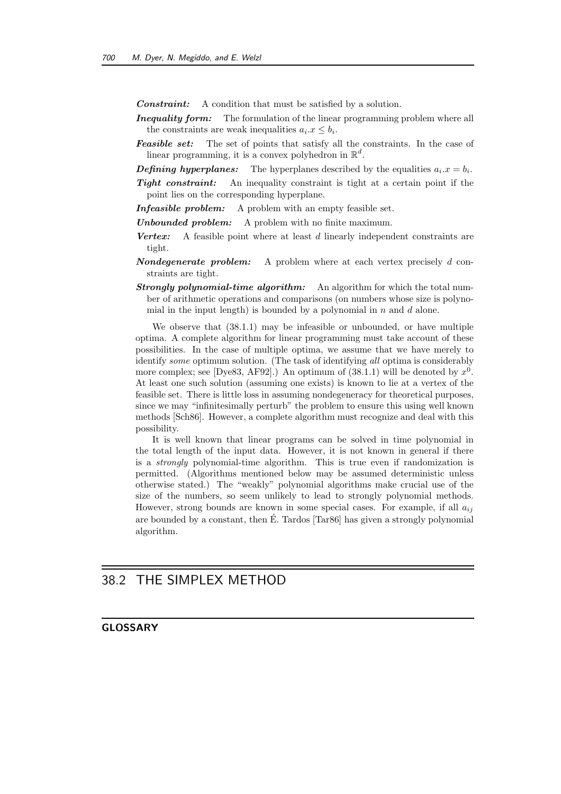Constraint: A condition that must be satisfied by a solution.

- **Inequality form:** The formulation of the linear programming problem where all the constraints are weak inequalities  $a_i \cdot x \leq b_i$ .
- Feasible set: The set of points that satisfy all the constraints. In the case of linear programming, it is a convex polyhedron in  $\mathbb{R}^d$ .

**Defining hyperplanes:** The hyperplanes described by the equalities  $a_i x = b_i$ .

- **Tight constraint:** An inequality constraint is tight at a certain point if the point lies on the corresponding hyperplane.
- Infeasible problem: A problem with an empty feasible set.
- Unbounded problem: A problem with no finite maximum.
- Vertex: A feasible point where at least d linearly independent constraints are tight.
- **Nondegenerate problem:** A problem where at each vertex precisely d constraints are tight.
- **Strongly polynomial-time algorithm:** An algorithm for which the total number of arithmetic operations and comparisons (on numbers whose size is polynomial in the input length) is bounded by a polynomial in  $n$  and  $d$  alone.

We observe that (38.1.1) may be infeasible or unbounded, or have multiple optima. A complete algorithm for linear programming must take account of these possibilities. In the case of multiple optima, we assume that we have merely to identify some optimum solution. (The task of identifying all optima is considerably more complex; see [Dye83, AF92].) An optimum of  $(38.1.1)$  will be denoted by  $x^0$ . At least one such solution (assuming one exists) is known to lie at a vertex of the feasible set. There is little loss in assuming nondegeneracy for theoretical purposes, since we may "infinitesimally perturb" the problem to ensure this using well known methods [Sch86]. However, a complete algorithm must recognize and deal with this possibility.

It is well known that linear programs can be solved in time polynomial in the total length of the input data. However, it is not known in general if there is a strongly polynomial-time algorithm. This is true even if randomization is permitted. (Algorithms mentioned below may be assumed deterministic unless otherwise stated.) The "weakly" polynomial algorithms make crucial use of the size of the numbers, so seem unlikely to lead to strongly polynomial methods. However, strong bounds are known in some special cases. For example, if all  $a_{ij}$ are bounded by a constant, then  $\acute{E}$ . Tardos [Tar86] has given a strongly polynomial algorithm.

# 38.2 THE SIMPLEX METHOD

#### GLOSSARY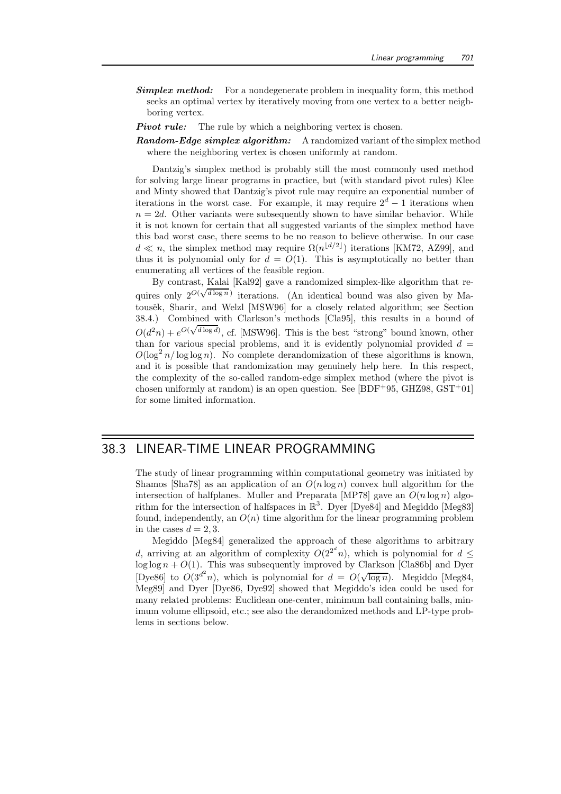- **Simplex method:** For a nondegenerate problem in inequality form, this method seeks an optimal vertex by iteratively moving from one vertex to a better neighboring vertex.
- **Pivot rule:** The rule by which a neighboring vertex is chosen.
- **Random-Edge simplex algorithm:** A randomized variant of the simplex method where the neighboring vertex is chosen uniformly at random.

Dantzig's simplex method is probably still the most commonly used method for solving large linear programs in practice, but (with standard pivot rules) Klee and Minty showed that Dantzig's pivot rule may require an exponential number of iterations in the worst case. For example, it may require  $2^d - 1$  iterations when  $n = 2d$ . Other variants were subsequently shown to have similar behavior. While it is not known for certain that all suggested variants of the simplex method have this bad worst case, there seems to be no reason to believe otherwise. In our case  $d \ll n$ , the simplex method may require  $\Omega(n^{\lfloor d/2 \rfloor})$  iterations [KM72, AZ99], and thus it is polynomial only for  $d = O(1)$ . This is asymptotically no better than enumerating all vertices of the feasible region.

By contrast, Kalai [Kal92] gave a randomized simplex-like algorithm that requires only  $2^{O(\sqrt{d \log n})}$  iterations. (An identical bound was also given by Matousěk, Sharir, and Welzl [MSW96] for a closely related algorithm; see Section 38.4.) Combined with Clarkson's methods [Cla95], this results in a bound of  $O(d^2n) + e^{O(\sqrt{d \log d})}$ , cf. [MSW96]. This is the best "strong" bound known, other than for various special problems, and it is evidently polynomial provided  $d =$  $O(\log^2 n/\log \log n)$ . No complete derandomization of these algorithms is known, and it is possible that randomization may genuinely help here. In this respect, the complexity of the so-called random-edge simplex method (where the pivot is chosen uniformly at random) is an open question. See [BDF+95, GHZ98, GST+01] for some limited information.

### 38.3 LINEAR-TIME LINEAR PROGRAMMING

The study of linear programming within computational geometry was initiated by Shamos [Sha78] as an application of an  $O(n \log n)$  convex hull algorithm for the intersection of halfplanes. Muller and Preparata [MP78] gave an  $O(n \log n)$  algorithm for the intersection of halfspaces in  $\mathbb{R}^3$ . Dyer [Dye84] and Megiddo [Meg83] found, independently, an  $O(n)$  time algorithm for the linear programming problem in the cases  $d = 2, 3$ .

Megiddo [Meg84] generalized the approach of these algorithms to arbitrary d, arriving at an algorithm of complexity  $O(2^{2^d}n)$ , which is polynomial for  $d \leq$  $\log \log n + O(1)$ . This was subsequently improved by Clarkson [Cla86b] and Dyer [Dye86] to  $O(3^{d^2}n)$ , which is polynomial for  $d = O(\sqrt{\log n})$ . Megiddo [Meg84, Meg89] and Dyer [Dye86, Dye92] showed that Megiddo's idea could be used for many related problems: Euclidean one-center, minimum ball containing balls, minimum volume ellipsoid, etc.; see also the derandomized methods and LP-type problems in sections below.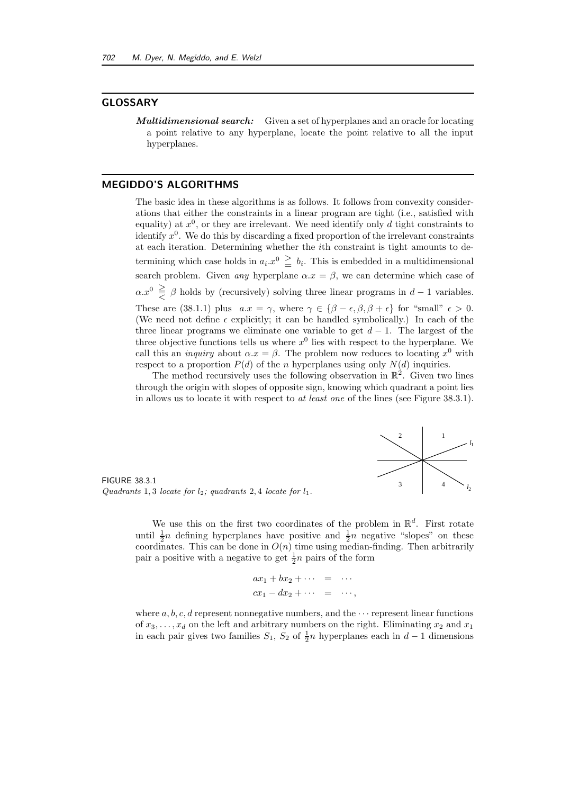#### GLOSSARY

*Multidimensional search:* Given a set of hyperplanes and an oracle for locating a point relative to any hyperplane, locate the point relative to all the input hyperplanes.

#### MEGIDDO'S ALGORITHMS

The basic idea in these algorithms is as follows. It follows from convexity considerations that either the constraints in a linear program are tight (i.e., satisfied with equality) at  $x^0$ , or they are irrelevant. We need identify only d tight constraints to identify  $x^0$ . We do this by discarding a fixed proportion of the irrelevant constraints at each iteration. Determining whether the ith constraint is tight amounts to determining which case holds in  $a_i x^0 \geq b_i$ . This is embedded in a multidimensional search problem. Given *any* hyperplane  $\alpha x = \beta$ , we can determine which case of  $\alpha.x^0 \geq \beta$  holds by (recursively) solving three linear programs in  $d-1$  variables. These are (38.1.1) plus  $a.x = \gamma$ , where  $\gamma \in {\beta - \epsilon, \beta, \beta + \epsilon}$  for "small"  $\epsilon > 0$ . (We need not define  $\epsilon$  explicitly; it can be handled symbolically.) In each of the three linear programs we eliminate one variable to get  $d-1$ . The largest of the three objective functions tells us where  $x^0$  lies with respect to the hyperplane. We call this an *inquiry* about  $\alpha x = \beta$ . The problem now reduces to locating  $x^0$  with respect to a proportion  $P(d)$  of the n hyperplanes using only  $N(d)$  inquiries.

The method recursively uses the following observation in  $\mathbb{R}^2$ . Given two lines through the origin with slopes of opposite sign, knowing which quadrant a point lies in allows us to locate it with respect to at least one of the lines (see Figure 38.3.1).



FIGURE 38.3.1 Quadrants 1, 3 locate for  $l_2$ ; quadrants 2, 4 locate for  $l_1$ .

We use this on the first two coordinates of the problem in  $\mathbb{R}^d$ . First rotate until  $\frac{1}{2}n$  defining hyperplanes have positive and  $\frac{1}{2}n$  negative "slopes" on these coordinates. This can be done in  $O(n)$  time using median-finding. Then arbitrarily pair a positive with a negative to get  $\frac{1}{2}n$  pairs of the form

$$
ax_1 + bx_2 + \cdots = \cdots
$$
  

$$
cx_1 - dx_2 + \cdots = \cdots,
$$

where  $a, b, c, d$  represent nonnegative numbers, and the  $\cdots$  represent linear functions of  $x_3, \ldots, x_d$  on the left and arbitrary numbers on the right. Eliminating  $x_2$  and  $x_1$ in each pair gives two families  $S_1$ ,  $S_2$  of  $\frac{1}{2}n$  hyperplanes each in  $d-1$  dimensions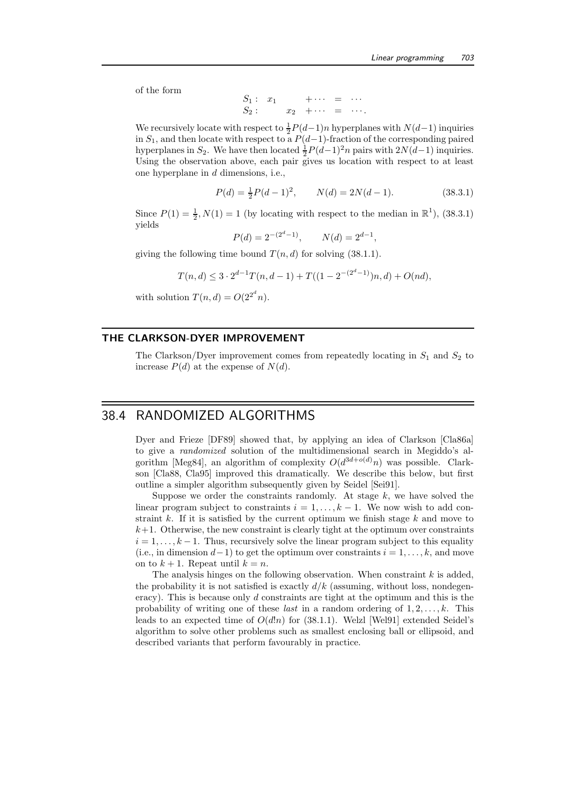of the form

$$
S_1: x_1 + \cdots = \cdots
$$
  
\n
$$
S_2: x_2 + \cdots = \cdots
$$

We recursively locate with respect to  $\frac{1}{2}P(d-1)n$  hyperplanes with  $N(d-1)$  inquiries in  $S_1$ , and then locate with respect to a  $P(d-1)$ -fraction of the corresponding paired hyperplanes in  $S_2$ . We have then located  $\frac{1}{2}P(d-1)^2n$  pairs with  $2N(d-1)$  inquiries. Using the observation above, each pair gives us location with respect to at least one hyperplane in d dimensions, i.e.,

$$
P(d) = \frac{1}{2}P(d-1)^2, \qquad N(d) = 2N(d-1). \tag{38.3.1}
$$

Since  $P(1) = \frac{1}{2}$ ,  $N(1) = 1$  (by locating with respect to the median in  $\mathbb{R}^1$ ), (38.3.1) yields

$$
P(d) = 2^{-(2^d - 1)}, \qquad N(d) = 2^{d-1},
$$

giving the following time bound  $T(n, d)$  for solving (38.1.1).

$$
T(n,d) \le 3 \cdot 2^{d-1} T(n,d-1) + T((1 - 2^{-(2^d - 1)})n,d) + O(nd),
$$

with solution  $T(n, d) = O(2^{2^d} n)$ .

#### THE CLARKSON-DYER IMPROVEMENT

The Clarkson/Dyer improvement comes from repeatedly locating in  $S_1$  and  $S_2$  to increase  $P(d)$  at the expense of  $N(d)$ .

### 38.4 RANDOMIZED ALGORITHMS

Dyer and Frieze [DF89] showed that, by applying an idea of Clarkson [Cla86a] to give a randomized solution of the multidimensional search in Megiddo's algorithm [Meg84], an algorithm of complexity  $O(d^{3d+o(d)}n)$  was possible. Clarkson [Cla88, Cla95] improved this dramatically. We describe this below, but first outline a simpler algorithm subsequently given by Seidel [Sei91].

Suppose we order the constraints randomly. At stage  $k$ , we have solved the linear program subject to constraints  $i = 1, \ldots, k - 1$ . We now wish to add constraint  $k$ . If it is satisfied by the current optimum we finish stage  $k$  and move to  $k+1$ . Otherwise, the new constraint is clearly tight at the optimum over constraints  $i = 1, \ldots, k-1$ . Thus, recursively solve the linear program subject to this equality (i.e., in dimension  $d-1$ ) to get the optimum over constraints  $i = 1, \ldots, k$ , and move on to  $k + 1$ . Repeat until  $k = n$ .

The analysis hinges on the following observation. When constraint  $k$  is added, the probability it is not satisfied is exactly  $d/k$  (assuming, without loss, nondegeneracy). This is because only  $d$  constraints are tight at the optimum and this is the probability of writing one of these *last* in a random ordering of  $1, 2, \ldots, k$ . This leads to an expected time of  $O(d!n)$  for (38.1.1). Welzl [Wel91] extended Seidel's algorithm to solve other problems such as smallest enclosing ball or ellipsoid, and described variants that perform favourably in practice.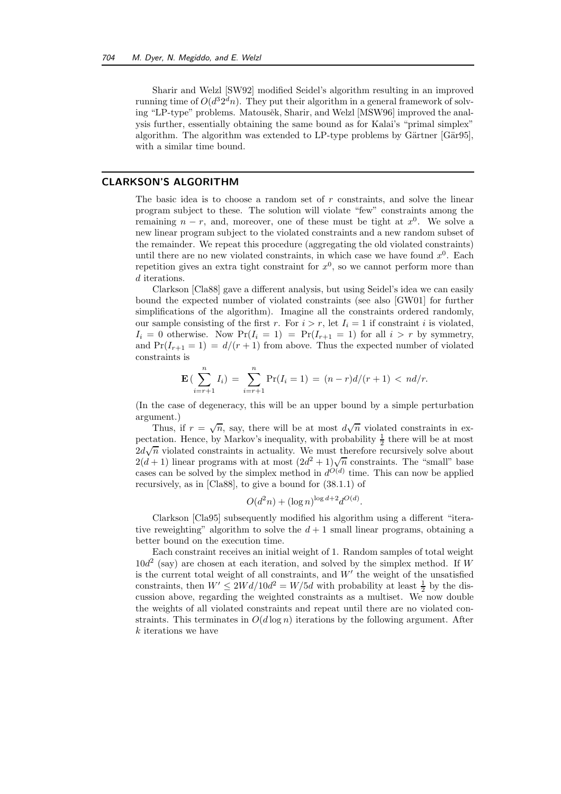Sharir and Welzl [SW92] modified Seidel's algorithm resulting in an improved running time of  $O(d^3 2^d n)$ . They put their algorithm in a general framework of solving "LP-type" problems. Matousěk, Sharir, and Welzl [MSW96] improved the analysis further, essentially obtaining the same bound as for Kalai's "primal simplex" algorithm. The algorithm was extended to  $LP$ -type problems by Gärtner [Gär95], with a similar time bound.

#### CLARKSON'S ALGORITHM

The basic idea is to choose a random set of  $r$  constraints, and solve the linear program subject to these. The solution will violate "few" constraints among the remaining  $n - r$ , and, moreover, one of these must be tight at  $x^0$ . We solve a new linear program subject to the violated constraints and a new random subset of the remainder. We repeat this procedure (aggregating the old violated constraints) until there are no new violated constraints, in which case we have found  $x^0$ . Each repetition gives an extra tight constraint for  $x^0$ , so we cannot perform more than d iterations.

Clarkson [Cla88] gave a different analysis, but using Seidel's idea we can easily bound the expected number of violated constraints (see also [GW01] for further simplifications of the algorithm). Imagine all the constraints ordered randomly, our sample consisting of the first r. For  $i > r$ , let  $I_i = 1$  if constraint i is violated,  $I_i = 0$  otherwise. Now  $Pr(I_i = 1) = Pr(I_{r+1} = 1)$  for all  $i > r$  by symmetry, and  $Pr(I_{r+1} = 1) = d/(r+1)$  from above. Thus the expected number of violated constraints is

$$
\mathbf{E}\left(\sum_{i=r+1}^{n} I_i\right) = \sum_{i=r+1}^{n} \Pr(I_i = 1) = (n-r)d/(r+1) < nd/r.
$$

(In the case of degeneracy, this will be an upper bound by a simple perturbation argument.)

Thus, if  $r = \sqrt{n}$ , say, there will be at most  $d\sqrt{n}$  violated constraints in expectation. Hence, by Markov's inequality, with probability  $\frac{1}{2}$  there will be at most  $2d\sqrt{n}$  violated constraints in actuality. We must therefore recursively solve about  $2(d+1)$  linear programs with at most  $(2d^2+1)\sqrt{n}$  constraints. The "small" base cases can be solved by the simplex method in  $d^{O(d)}$  time. This can now be applied recursively, as in [Cla88], to give a bound for (38.1.1) of

$$
O(d^2n) + (\log n)^{\log d + 2} d^{O(d)}.
$$

Clarkson [Cla95] subsequently modified his algorithm using a different "iterative reweighting" algorithm to solve the  $d+1$  small linear programs, obtaining a better bound on the execution time.

Each constraint receives an initial weight of 1. Random samples of total weight  $10d^2$  (say) are chosen at each iteration, and solved by the simplex method. If W is the current total weight of all constraints, and W′ the weight of the unsatisfied constraints, then  $W' \le 2Wd/10d^2 = W/5d$  with probability at least  $\frac{1}{2}$  by the discussion above, regarding the weighted constraints as a multiset. We now double the weights of all violated constraints and repeat until there are no violated constraints. This terminates in  $O(d \log n)$  iterations by the following argument. After k iterations we have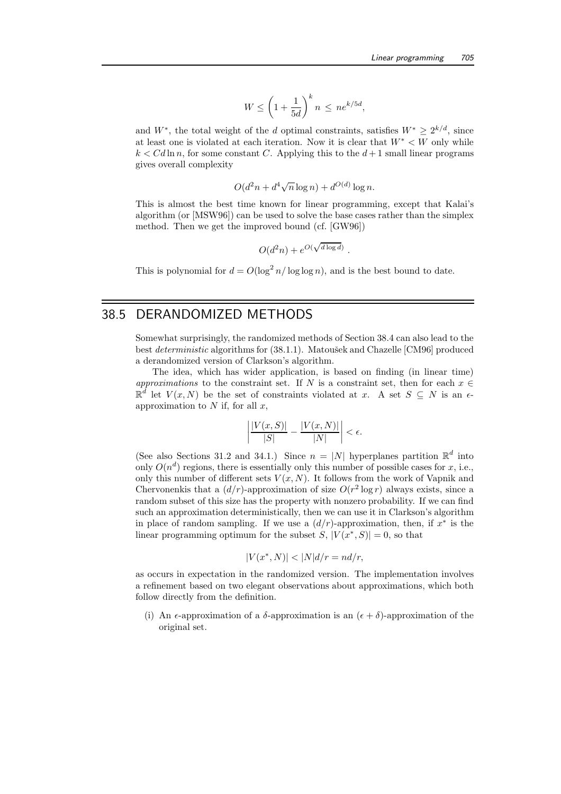$$
W \le \left(1 + \frac{1}{5d}\right)^k n \le n e^{k/5d},
$$

and  $W^*$ , the total weight of the d optimal constraints, satisfies  $W^* \geq 2^{k/d}$ , since at least one is violated at each iteration. Now it is clear that  $W^* < W$  only while  $k < C d \ln n$ , for some constant C. Applying this to the  $d+1$  small linear programs gives overall complexity

$$
O(d^2n + d^4\sqrt{n}\log n) + d^{O(d)}\log n.
$$

This is almost the best time known for linear programming, except that Kalai's algorithm (or [MSW96]) can be used to solve the base cases rather than the simplex method. Then we get the improved bound (cf. [GW96])

$$
O(d^2n) + e^{O(\sqrt{d\log d})}.
$$

This is polynomial for  $d = O(\log^2 n / \log \log n)$ , and is the best bound to date.

# 38.5 DERANDOMIZED METHODS

Somewhat surprisingly, the randomized methods of Section 38.4 can also lead to the best *deterministic* algorithms for  $(38.1.1)$ . Matoušek and Chazelle [CM96] produced a derandomized version of Clarkson's algorithm.

The idea, which has wider application, is based on finding (in linear time) approximations to the constraint set. If N is a constraint set, then for each  $x \in$  $\mathbb{R}^d$  let  $V(x, N)$  be the set of constraints violated at x. A set  $S \subseteq N$  is an  $\epsilon$ approximation to  $N$  if, for all  $x$ ,

$$
\left|\frac{|V(x,S)|}{|S|} - \frac{|V(x,N)|}{|N|}\right| < \epsilon.
$$

(See also Sections 31.2 and 34.1.) Since  $n = |N|$  hyperplanes partition  $\mathbb{R}^d$  into only  $O(n^d)$  regions, there is essentially only this number of possible cases for x, i.e., only this number of different sets  $V(x, N)$ . It follows from the work of Vapnik and Chervonenkis that a  $(d/r)$ -approximation of size  $O(r^2 \log r)$  always exists, since a random subset of this size has the property with nonzero probability. If we can find such an approximation deterministically, then we can use it in Clarkson's algorithm in place of random sampling. If we use a  $(d/r)$ -approximation, then, if  $x^*$  is the linear programming optimum for the subset  $S, |V(x^*, S)| = 0$ , so that

$$
|V(x^*, N)| < |N|d/r = nd/r,
$$

as occurs in expectation in the randomized version. The implementation involves a refinement based on two elegant observations about approximations, which both follow directly from the definition.

(i) An  $\epsilon$ -approximation of a  $\delta$ -approximation is an  $(\epsilon + \delta)$ -approximation of the original set.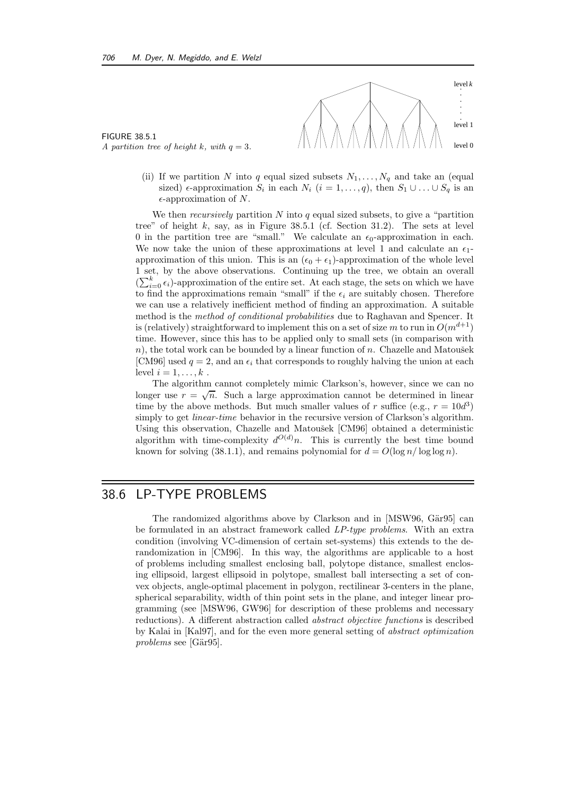



(ii) If we partition N into q equal sized subsets  $N_1, \ldots, N_q$  and take an (equal sized)  $\epsilon$ -approximation  $S_i$  in each  $N_i$   $(i = 1, \ldots, q)$ , then  $S_1 \cup \ldots \cup S_q$  is an  $\epsilon$ -approximation of N.

We then recursively partition N into q equal sized subsets, to give a "partition" tree" of height  $k$ , say, as in Figure 38.5.1 (cf. Section 31.2). The sets at level 0 in the partition tree are "small." We calculate an  $\epsilon_0$ -approximation in each. We now take the union of these approximations at level 1 and calculate an  $\epsilon_1$ approximation of this union. This is an  $(\epsilon_0 + \epsilon_1)$ -approximation of the whole level 1 set, by the above observations. Continuing up the tree, we obtain an overall  $(\sum_{i=0}^{k} \epsilon_i)$ -approximation of the entire set. At each stage, the sets on which we have to find the approximations remain "small" if the  $\epsilon_i$  are suitably chosen. Therefore we can use a relatively inefficient method of finding an approximation. A suitable method is the method of conditional probabilities due to Raghavan and Spencer. It is (relatively) straightforward to implement this on a set of size m to run in  $O(m^{d+1})$ time. However, since this has to be applied only to small sets (in comparison with n), the total work can be bounded by a linear function of n. Chazelle and Matoušek [CM96] used  $q = 2$ , and an  $\epsilon_i$  that corresponds to roughly halving the union at each level  $i = 1, \ldots, k$ .

The algorithm cannot completely mimic Clarkson's, however, since we can no longer use  $r = \sqrt{n}$ . Such a large approximation cannot be determined in linear time by the above methods. But much smaller values of r suffice (e.g.,  $r = 10d^3$ ) simply to get *linear-time* behavior in the recursive version of Clarkson's algorithm. Using this observation, Chazelle and Matoušek [CM96] obtained a deterministic algorithm with time-complexity  $d^{O(d)}n$ . This is currently the best time bound known for solving (38.1.1), and remains polynomial for  $d = O(\log n / \log \log n)$ .

# 38.6 LP-TYPE PROBLEMS

The randomized algorithms above by Clarkson and in  $(MSW96, Gär95)$  can be formulated in an abstract framework called LP-type problems. With an extra condition (involving VC-dimension of certain set-systems) this extends to the derandomization in [CM96]. In this way, the algorithms are applicable to a host of problems including smallest enclosing ball, polytope distance, smallest enclosing ellipsoid, largest ellipsoid in polytope, smallest ball intersecting a set of convex objects, angle-optimal placement in polygon, rectilinear 3-centers in the plane, spherical separability, width of thin point sets in the plane, and integer linear programming (see [MSW96, GW96] for description of these problems and necessary reductions). A different abstraction called abstract objective functions is described by Kalai in [Kal97], and for the even more general setting of abstract optimization  $problems$  see [Gär95].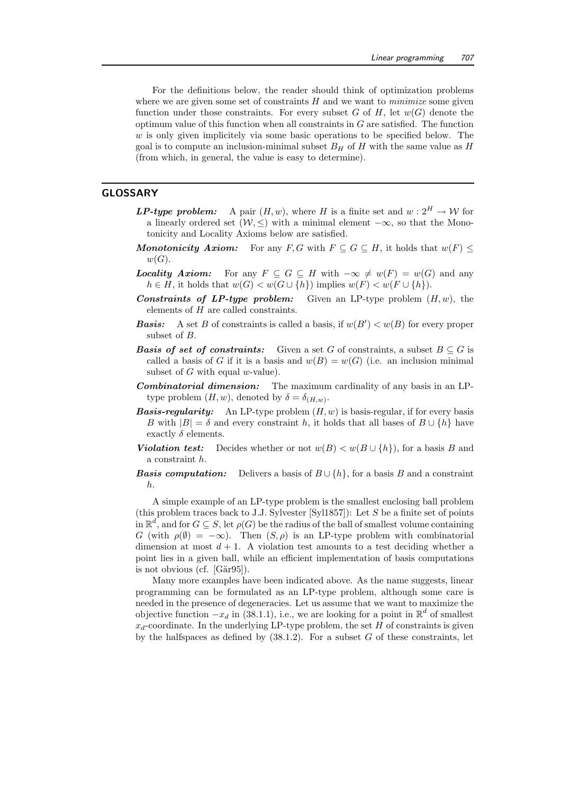For the definitions below, the reader should think of optimization problems where we are given some set of constraints  $H$  and we want to *minimize* some given function under those constraints. For every subset G of H, let  $w(G)$  denote the optimum value of this function when all constraints in G are satisfied. The function  $w$  is only given implicitely via some basic operations to be specified below. The goal is to compute an inclusion-minimal subset  $B_H$  of H with the same value as H (from which, in general, the value is easy to determine).

#### GLOSSARY

- **LP-type problem:** A pair  $(H, w)$ , where H is a finite set and  $w: 2^H \to W$  for a linearly ordered set  $(W, \leq)$  with a minimal element  $-\infty$ , so that the Monotonicity and Locality Axioms below are satisfied.
- **Monotonicity Axiom:** For any F, G with  $F \subseteq G \subseteq H$ , it holds that  $w(F) \leq$  $w(G)$ .
- **Locality Axiom:** For any  $F \subseteq G \subseteq H$  with  $-\infty \neq w(F) = w(G)$  and any  $h \in H$ , it holds that  $w(G) < w(G \cup \{h\})$  implies  $w(F) < w(F \cup \{h\})$ .
- **Constraints of LP-type problem:** Given an LP-type problem  $(H, w)$ , the elements of H are called constraints.
- **Basis:** A set B of constraints is called a basis, if  $w(B') < w(B)$  for every proper subset of B.
- **Basis of set of constraints:** Given a set G of constraints, a subset  $B \subseteq G$  is called a basis of G if it is a basis and  $w(B) = w(G)$  (i.e. an inclusion minimal subset of  $G$  with equal w-value).
- Combinatorial dimension: The maximum cardinality of any basis in an LPtype problem  $(H, w)$ , denoted by  $\delta = \delta_{(H, w)}$ .
- **Basis-regularity:** An LP-type problem  $(H, w)$  is basis-regular, if for every basis B with  $|B| = \delta$  and every constraint h, it holds that all bases of  $B \cup \{h\}$  have exactly  $\delta$  elements.
- Violation test: Decides whether or not  $w(B) < w(B \cup \{h\})$ , for a basis B and a constraint h.
- **Basis computation:** Delivers a basis of  $B \cup \{h\}$ , for a basis B and a constraint h.

A simple example of an LP-type problem is the smallest enclosing ball problem (this problem traces back to J.J. Sylvester  $[Syl1857]$ ): Let S be a finite set of points in  $\mathbb{R}^d$ , and for  $G \subseteq S$ , let  $\rho(G)$  be the radius of the ball of smallest volume containing G (with  $\rho(\emptyset) = -\infty$ ). Then  $(S, \rho)$  is an LP-type problem with combinatorial dimension at most  $d+1$ . A violation test amounts to a test deciding whether a point lies in a given ball, while an efficient implementation of basis computations is not obvious (cf.  $[Gar95]$ ).

Many more examples have been indicated above. As the name suggests, linear programming can be formulated as an LP-type problem, although some care is needed in the presence of degeneracies. Let us assume that we want to maximize the objective function  $-x_d$  in (38.1.1), i.e., we are looking for a point in  $\mathbb{R}^d$  of smallest  $x_d$ -coordinate. In the underlying LP-type problem, the set H of constraints is given by the halfspaces as defined by  $(38.1.2)$ . For a subset G of these constraints, let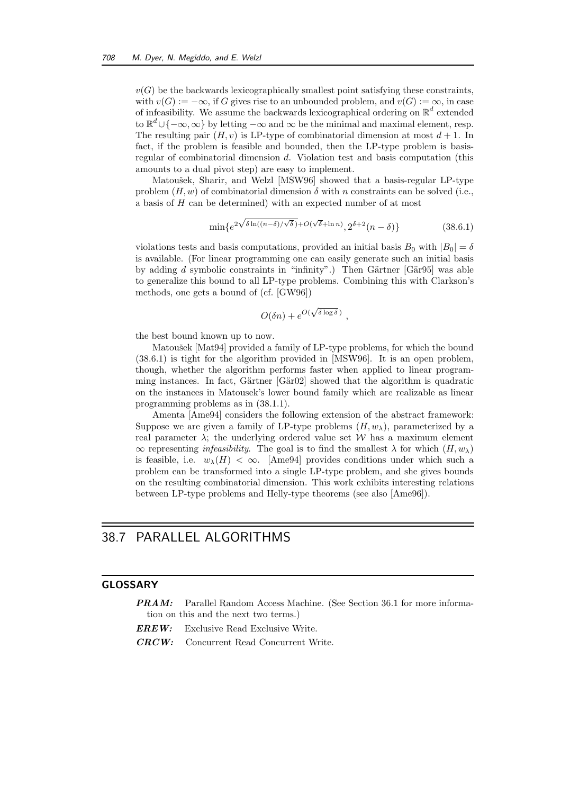$v(G)$  be the backwards lexicographically smallest point satisfying these constraints, with  $v(G) := -\infty$ , if G gives rise to an unbounded problem, and  $v(G) := \infty$ , in case of infeasibility. We assume the backwards lexicographical ordering on  $\mathbb{R}^d$  extended to  $\mathbb{R}^d \cup \{-\infty, \infty\}$  by letting  $-\infty$  and  $\infty$  be the minimal and maximal element, resp. The resulting pair  $(H, v)$  is LP-type of combinatorial dimension at most  $d+1$ . In fact, if the problem is feasible and bounded, then the LP-type problem is basisregular of combinatorial dimension d. Violation test and basis computation (this amounts to a dual pivot step) are easy to implement.

Matoušek, Sharir, and Welzl [MSW96] showed that a basis-regular LP-type problem  $(H, w)$  of combinatorial dimension  $\delta$  with n constraints can be solved (i.e., a basis of H can be determined) with an expected number of at most

$$
\min\{e^{2\sqrt{\delta\ln((n-\delta)/\sqrt{\delta}})+O(\sqrt{\delta}+\ln n)}, 2^{\delta+2}(n-\delta)\}\tag{38.6.1}
$$

violations tests and basis computations, provided an initial basis  $B_0$  with  $|B_0| = \delta$ is available. (For linear programming one can easily generate such an initial basis by adding  $d$  symbolic constraints in "infinity".) Then Gärtner [Gär95] was able to generalize this bound to all LP-type problems. Combining this with Clarkson's methods, one gets a bound of (cf. [GW96])

$$
O(\delta n) + e^{O(\sqrt{\delta \log \delta})},
$$

the best bound known up to now.

Matoušek [Mat94] provided a family of LP-type problems, for which the bound (38.6.1) is tight for the algorithm provided in [MSW96]. It is an open problem, though, whether the algorithm performs faster when applied to linear programming instances. In fact, Gärtner  $[Gar02]$  showed that the algorithm is quadratic on the instances in Matousek's lower bound family which are realizable as linear programming problems as in (38.1.1).

Amenta [Ame94] considers the following extension of the abstract framework: Suppose we are given a family of LP-type problems  $(H, w_\lambda)$ , parameterized by a real parameter  $\lambda$ ; the underlying ordered value set W has a maximum element  $\infty$  representing *infeasibility*. The goal is to find the smallest  $\lambda$  for which  $(H, w_{\lambda})$ is feasible, i.e.  $w_{\lambda}(H) < \infty$ . [Ame94] provides conditions under which such a problem can be transformed into a single LP-type problem, and she gives bounds on the resulting combinatorial dimension. This work exhibits interesting relations between LP-type problems and Helly-type theorems (see also [Ame96]).

## 38.7 PARALLEL ALGORITHMS

### GLOSSARY

- **PRAM:** Parallel Random Access Machine. (See Section 36.1 for more information on this and the next two terms.)
- EREW: Exclusive Read Exclusive Write.
- CRCW: Concurrent Read Concurrent Write.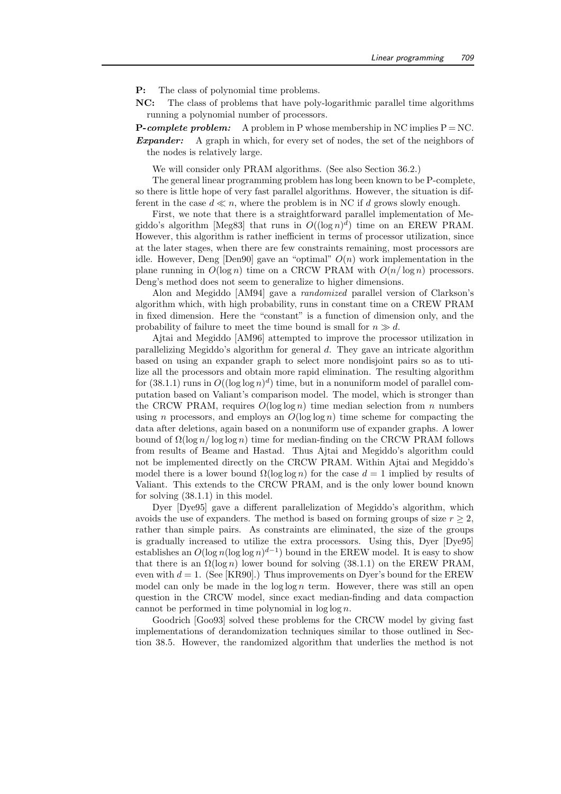- P: The class of polynomial time problems.
- NC: The class of problems that have poly-logarithmic parallel time algorithms running a polynomial number of processors.

**P**-complete problem: A problem in P whose membership in NC implies  $P = NC$ .

**Expander:** A graph in which, for every set of nodes, the set of the neighbors of the nodes is relatively large.

We will consider only PRAM algorithms. (See also Section 36.2.)

The general linear programming problem has long been known to be P-complete, so there is little hope of very fast parallel algorithms. However, the situation is different in the case  $d \ll n$ , where the problem is in NC if d grows slowly enough.

First, we note that there is a straightforward parallel implementation of Megiddo's algorithm [Meg83] that runs in  $O((\log n)^d)$  time on an EREW PRAM. However, this algorithm is rather inefficient in terms of processor utilization, since at the later stages, when there are few constraints remaining, most processors are idle. However, Deng [Den90] gave an "optimal"  $O(n)$  work implementation in the plane running in  $O(\log n)$  time on a CRCW PRAM with  $O(n/\log n)$  processors. Deng's method does not seem to generalize to higher dimensions.

Alon and Megiddo [AM94] gave a randomized parallel version of Clarkson's algorithm which, with high probability, runs in constant time on a CREW PRAM in fixed dimension. Here the "constant" is a function of dimension only, and the probability of failure to meet the time bound is small for  $n \gg d$ .

Ajtai and Megiddo [AM96] attempted to improve the processor utilization in parallelizing Megiddo's algorithm for general d. They gave an intricate algorithm based on using an expander graph to select more nondisjoint pairs so as to utilize all the processors and obtain more rapid elimination. The resulting algorithm for (38.1.1) runs in  $O((\log \log n)^d)$  time, but in a nonuniform model of parallel computation based on Valiant's comparison model. The model, which is stronger than the CRCW PRAM, requires  $O(\log \log n)$  time median selection from n numbers using *n* processors, and employs an  $O(\log \log n)$  time scheme for compacting the data after deletions, again based on a nonuniform use of expander graphs. A lower bound of  $\Omega(\log n / \log \log n)$  time for median-finding on the CRCW PRAM follows from results of Beame and Hastad. Thus Ajtai and Megiddo's algorithm could not be implemented directly on the CRCW PRAM. Within Ajtai and Megiddo's model there is a lower bound  $\Omega(\log \log n)$  for the case  $d = 1$  implied by results of Valiant. This extends to the CRCW PRAM, and is the only lower bound known for solving (38.1.1) in this model.

Dyer [Dye95] gave a different parallelization of Megiddo's algorithm, which avoids the use of expanders. The method is based on forming groups of size  $r \geq 2$ , rather than simple pairs. As constraints are eliminated, the size of the groups is gradually increased to utilize the extra processors. Using this, Dyer [Dye95] establishes an  $O(\log n(\log \log n)^{d-1})$  bound in the EREW model. It is easy to show that there is an  $\Omega(\log n)$  lower bound for solving (38.1.1) on the EREW PRAM, even with  $d = 1$ . (See [KR90].) Thus improvements on Dyer's bound for the EREW model can only be made in the  $\log \log n$  term. However, there was still an open question in the CRCW model, since exact median-finding and data compaction cannot be performed in time polynomial in  $\log \log n$ .

Goodrich [Goo93] solved these problems for the CRCW model by giving fast implementations of derandomization techniques similar to those outlined in Section 38.5. However, the randomized algorithm that underlies the method is not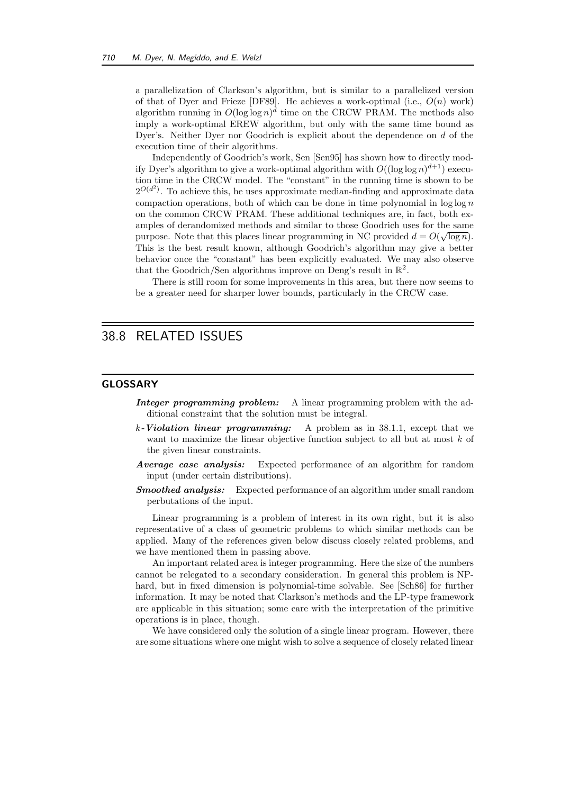a parallelization of Clarkson's algorithm, but is similar to a parallelized version of that of Dyer and Frieze [DF89]. He achieves a work-optimal (i.e.,  $O(n)$  work) algorithm running in  $O(\log \log n)^d$  time on the CRCW PRAM. The methods also imply a work-optimal EREW algorithm, but only with the same time bound as Dyer's. Neither Dyer nor Goodrich is explicit about the dependence on d of the execution time of their algorithms.

Independently of Goodrich's work, Sen [Sen95] has shown how to directly modify Dyer's algorithm to give a work-optimal algorithm with  $O((\log \log n)^{d+1})$  execution time in the CRCW model. The "constant" in the running time is shown to be  $2^{O(d^2)}$ . To achieve this, he uses approximate median-finding and approximate data compaction operations, both of which can be done in time polynomial in  $\log \log n$ on the common CRCW PRAM. These additional techniques are, in fact, both examples of derandomized methods and similar to those Goodrich uses for the same purpose. Note that this places linear programming in NC provided  $d = O(\sqrt{\log n})$ . This is the best result known, although Goodrich's algorithm may give a better behavior once the "constant" has been explicitly evaluated. We may also observe that the Goodrich/Sen algorithms improve on Deng's result in  $\mathbb{R}^2$ .

There is still room for some improvements in this area, but there now seems to be a greater need for sharper lower bounds, particularly in the CRCW case.

# 38.8 RELATED ISSUES

#### GLOSSARY

- Integer programming problem: A linear programming problem with the additional constraint that the solution must be integral.
- $k$ -Violation linear programming: A problem as in 38.1.1, except that we want to maximize the linear objective function subject to all but at most  $k$  of the given linear constraints.
- Average case analysis: Expected performance of an algorithm for random input (under certain distributions).
- **Smoothed analysis:** Expected performance of an algorithm under small random perbutations of the input.

Linear programming is a problem of interest in its own right, but it is also representative of a class of geometric problems to which similar methods can be applied. Many of the references given below discuss closely related problems, and we have mentioned them in passing above.

An important related area is integer programming. Here the size of the numbers cannot be relegated to a secondary consideration. In general this problem is NPhard, but in fixed dimension is polynomial-time solvable. See [Sch86] for further information. It may be noted that Clarkson's methods and the LP-type framework are applicable in this situation; some care with the interpretation of the primitive operations is in place, though.

We have considered only the solution of a single linear program. However, there are some situations where one might wish to solve a sequence of closely related linear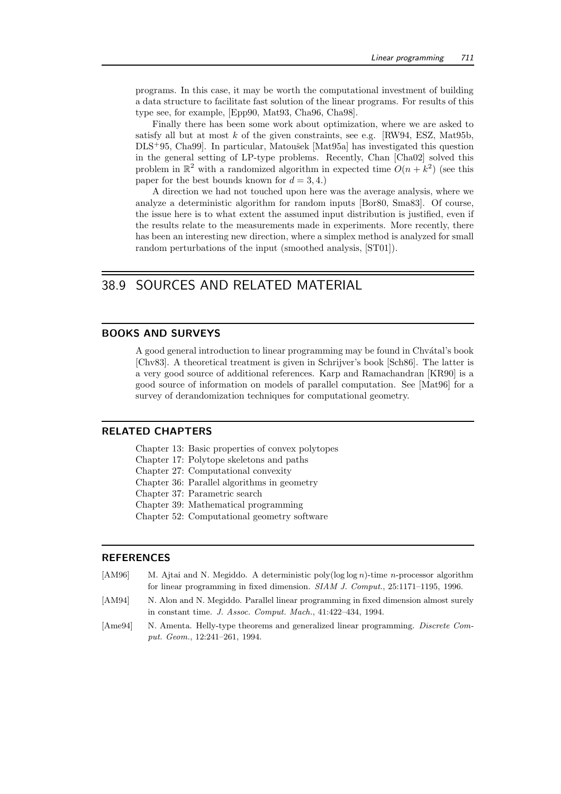programs. In this case, it may be worth the computational investment of building a data structure to facilitate fast solution of the linear programs. For results of this type see, for example, [Epp90, Mat93, Cha96, Cha98].

Finally there has been some work about optimization, where we are asked to satisfy all but at most  $k$  of the given constraints, see e.g. [RW94, ESZ, Mat95b,  $DLS+95$ , Cha99]. In particular, Matoušek [Mat95a] has investigated this question in the general setting of LP-type problems. Recently, Chan [Cha02] solved this problem in  $\mathbb{R}^2$  with a randomized algorithm in expected time  $O(n + k^2)$  (see this paper for the best bounds known for  $d = 3, 4$ .)

A direction we had not touched upon here was the average analysis, where we analyze a deterministic algorithm for random inputs [Bor80, Sma83]. Of course, the issue here is to what extent the assumed input distribution is justified, even if the results relate to the measurements made in experiments. More recently, there has been an interesting new direction, where a simplex method is analyzed for small random perturbations of the input (smoothed analysis, [ST01]).

## 38.9 SOURCES AND RELATED MATERIAL

### BOOKS AND SURVEYS

A good general introduction to linear programming may be found in Chvátal's book [Chv83]. A theoretical treatment is given in Schrijver's book [Sch86]. The latter is a very good source of additional references. Karp and Ramachandran [KR90] is a good source of information on models of parallel computation. See [Mat96] for a survey of derandomization techniques for computational geometry.

#### RELATED CHAPTERS

| Chapter 13: Basic properties of convex polytopes |  |  |  |  |  |  |
|--------------------------------------------------|--|--|--|--|--|--|
|--------------------------------------------------|--|--|--|--|--|--|

- Chapter 17: Polytope skeletons and paths
- Chapter 27: Computational convexity
- Chapter 36: Parallel algorithms in geometry
- Chapter 37: Parametric search
- Chapter 39: Mathematical programming

Chapter 52: Computational geometry software

#### **REFERENCES**

- [AM96] M. Ajtai and N. Megiddo. A deterministic poly( $log log n$ )-time *n*-processor algorithm for linear programming in fixed dimension. SIAM J. Comput., 25:1171–1195, 1996.
- [AM94] N. Alon and N. Megiddo. Parallel linear programming in fixed dimension almost surely in constant time. J. Assoc. Comput. Mach., 41:422–434, 1994.
- [Ame94] N. Amenta. Helly-type theorems and generalized linear programming. Discrete Comput. Geom., 12:241–261, 1994.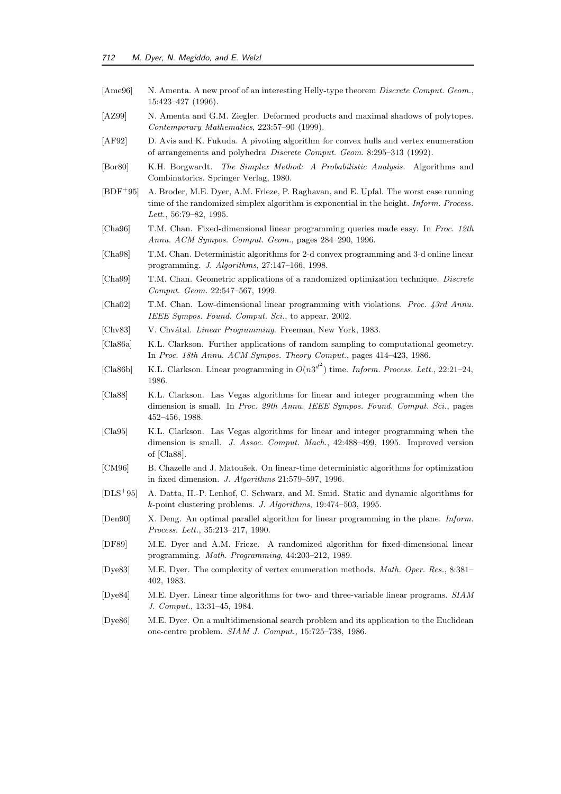[Ame96] N. Amenta. A new proof of an interesting Helly-type theorem *Discrete Comput. Geom.*, 15:423–427 (1996). [AZ99] N. Amenta and G.M. Ziegler. Deformed products and maximal shadows of polytopes. Contemporary Mathematics, 223:57–90 (1999). [AF92] D. Avis and K. Fukuda. A pivoting algorithm for convex hulls and vertex enumeration of arrangements and polyhedra Discrete Comput. Geom. 8:295–313 (1992). [Bor80] K.H. Borgwardt. The Simplex Method: A Probabilistic Analysis. Algorithms and Combinatorics. Springer Verlag, 1980. [BDF<sup>+</sup>95] A. Broder, M.E. Dyer, A.M. Frieze, P. Raghavan, and E. Upfal. The worst case running time of the randomized simplex algorithm is exponential in the height. *Inform. Process.* Lett., 56:79–82, 1995. [Cha96] T.M. Chan. Fixed-dimensional linear programming queries made easy. In Proc. 12th Annu. ACM Sympos. Comput. Geom., pages 284–290, 1996. [Cha98] T.M. Chan. Deterministic algorithms for 2-d convex programming and 3-d online linear programming. J. Algorithms, 27:147–166, 1998. [Cha99] T.M. Chan. Geometric applications of a randomized optimization technique. Discrete Comput. Geom. 22:547–567, 1999. [Cha02] T.M. Chan. Low-dimensional linear programming with violations. Proc. 43rd Annu. IEEE Sympos. Found. Comput. Sci., to appear, 2002. [Chv83] V. Chvátal. *Linear Programming*. Freeman, New York, 1983. [Cla86a] K.L. Clarkson. Further applications of random sampling to computational geometry. In Proc. 18th Annu. ACM Sympos. Theory Comput., pages 414–423, 1986. [Cla86b] K.L. Clarkson. Linear programming in  $O(n3^{d^2})$  time. Inform. Process. Lett., 22:21-24, 1986. [Cla88] K.L. Clarkson. Las Vegas algorithms for linear and integer programming when the dimension is small. In Proc. 29th Annu. IEEE Sympos. Found. Comput. Sci., pages 452–456, 1988. [Cla95] K.L. Clarkson. Las Vegas algorithms for linear and integer programming when the dimension is small. J. Assoc. Comput. Mach., 42:488–499, 1995. Improved version of [Cla88]. [CM96] B. Chazelle and J. Matoušek. On linear-time deterministic algorithms for optimization in fixed dimension. J. Algorithms 21:579–597, 1996. [DLS<sup>+</sup>95] A. Datta, H.-P. Lenhof, C. Schwarz, and M. Smid. Static and dynamic algorithms for k-point clustering problems. J. Algorithms, 19:474–503, 1995. [Den90] X. Deng. An optimal parallel algorithm for linear programming in the plane. Inform. Process. Lett., 35:213–217, 1990. [DF89] M.E. Dyer and A.M. Frieze. A randomized algorithm for fixed-dimensional linear programming. Math. Programming, 44:203–212, 1989. [Dye83] M.E. Dyer. The complexity of vertex enumeration methods. Math. Oper. Res., 8:381– 402, 1983. [Dye84] M.E. Dyer. Linear time algorithms for two- and three-variable linear programs. SIAM J. Comput., 13:31–45, 1984. [Dye86] M.E. Dyer. On a multidimensional search problem and its application to the Euclidean one-centre problem. SIAM J. Comput., 15:725–738, 1986.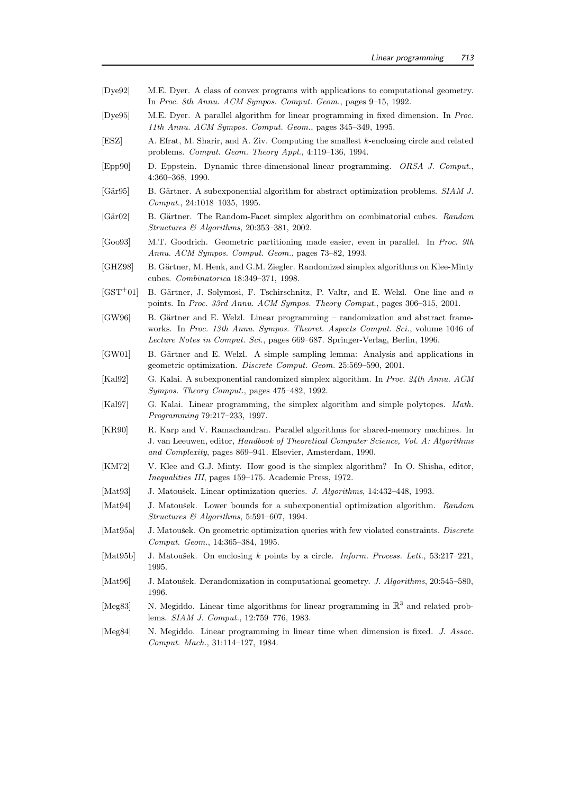- [Dye92] M.E. Dyer. A class of convex programs with applications to computational geometry. In Proc. 8th Annu. ACM Sympos. Comput. Geom., pages 9–15, 1992.
- [Dye95] M.E. Dyer. A parallel algorithm for linear programming in fixed dimension. In Proc. 11th Annu. ACM Sympos. Comput. Geom., pages 345–349, 1995.
- [ESZ] A. Efrat, M. Sharir, and A. Ziv. Computing the smallest k-enclosing circle and related problems. Comput. Geom. Theory Appl., 4:119–136, 1994.
- [Epp90] D. Eppstein. Dynamic three-dimensional linear programming. ORSA J. Comput., 4:360–368, 1990.
- [Gär95] B. Gärtner. A subexponential algorithm for abstract optimization problems. SIAM J. Comput., 24:1018–1035, 1995.
- [Gär02] B. Gärtner. The Random-Facet simplex algorithm on combinatorial cubes. Random Structures & Algorithms, 20:353–381, 2002.
- [Goo93] M.T. Goodrich. Geometric partitioning made easier, even in parallel. In Proc. 9th Annu. ACM Sympos. Comput. Geom., pages 73–82, 1993.
- [GHZ98] B. Gärtner, M. Henk, and G.M. Ziegler. Randomized simplex algorithms on Klee-Minty cubes. Combinatorica 18:349–371, 1998.
- [GST<sup>+</sup>01] B. Gärtner, J. Solymosi, F. Tschirschnitz, P. Valtr, and E. Welzl. One line and n points. In Proc. 33rd Annu. ACM Sympos. Theory Comput., pages 306–315, 2001.
- [GW96] B. Gärtner and E. Welzl. Linear programming randomization and abstract frameworks. In Proc. 13th Annu. Sympos. Theoret. Aspects Comput. Sci., volume 1046 of Lecture Notes in Comput. Sci., pages 669–687. Springer-Verlag, Berlin, 1996.
- [GW01] B. Gärtner and E. Welzl. A simple sampling lemma: Analysis and applications in geometric optimization. Discrete Comput. Geom. 25:569–590, 2001.
- [Kal92] G. Kalai. A subexponential randomized simplex algorithm. In Proc. 24th Annu. ACM Sympos. Theory Comput., pages 475–482, 1992.
- [Kal97] G. Kalai. Linear programming, the simplex algorithm and simple polytopes. Math. Programming 79:217–233, 1997.
- [KR90] R. Karp and V. Ramachandran. Parallel algorithms for shared-memory machines. In J. van Leeuwen, editor, Handbook of Theoretical Computer Science, Vol. A: Algorithms and Complexity, pages 869–941. Elsevier, Amsterdam, 1990.
- [KM72] V. Klee and G.J. Minty. How good is the simplex algorithm? In O. Shisha, editor, Inequalities III, pages 159–175. Academic Press, 1972.
- [Mat93] J. Matoušek. Linear optimization queries. J. Algorithms, 14:432-448, 1993.
- [Mat94] J. Matoušek. Lower bounds for a subexponential optimization algorithm. Random Structures & Algorithms, 5:591–607, 1994.
- [Mat95a] J. Matoušek. On geometric optimization queries with few violated constraints. Discrete Comput. Geom., 14:365–384, 1995.
- [Mat95b] J. Matoušek. On enclosing k points by a circle. Inform. Process. Lett., 53:217-221, 1995.
- [Mat96] J. Matoušek. Derandomization in computational geometry. J. Algorithms, 20:545–580, 1996.
- [Meg83] N. Megiddo. Linear time algorithms for linear programming in  $\mathbb{R}^3$  and related problems. SIAM J. Comput., 12:759–776, 1983.
- [Meg84] N. Megiddo. Linear programming in linear time when dimension is fixed. J. Assoc. Comput. Mach., 31:114–127, 1984.